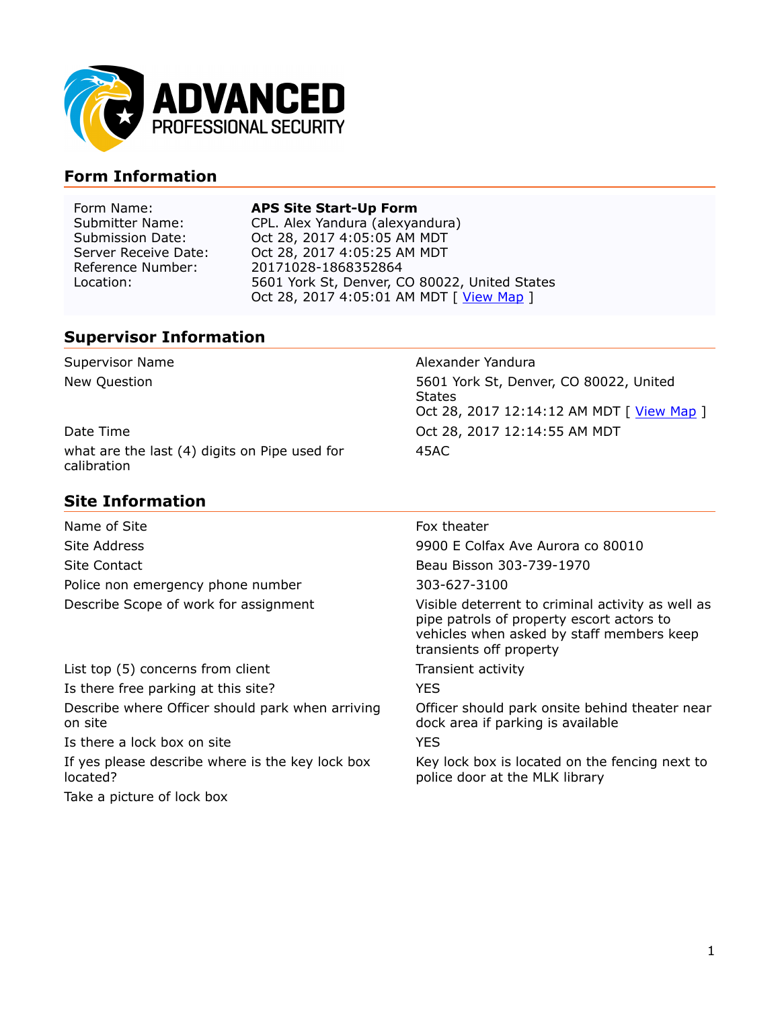

## **Form Information**

### Form Name: **APS Site Start-Up Form**

Submitter Name: CPL. Alex Yandura (alexyandura)<br>Submission Date: Coct 28, 2017 4:05:05 AM MDT Oct 28, 2017 4:05:05 AM MDT Server Receive Date: <br>
Reference Number: 20171028-1868352864 20171028-1868352864 Location: 5601 York St, Denver, CO 80022, United States Oct 28, 2017 4:05:01 AM MDT [ [View Map](http://maps.google.com/maps?q=39.79778934366895,-104.9633003723107) ]

### **Supervisor Information**

| Supervisor Name                                              | Alexander Yandura                                                                                    |
|--------------------------------------------------------------|------------------------------------------------------------------------------------------------------|
| New Question                                                 | 5601 York St, Denver, CO 80022, United<br><b>States</b><br>Oct 28, 2017 12:14:12 AM MDT [ View Map ] |
| Date Time                                                    | Oct 28, 2017 12:14:55 AM MDT                                                                         |
| what are the last (4) digits on Pipe used for<br>calibration | 45AC                                                                                                 |

### **Site Information**

Name of Site **Fox theater** Site Address 9900 E Colfax Ave Aurora co 80010 Site Contact Beau Bisson 303-739-1970 Police non emergency phone number 303-627-3100

List top (5) concerns from client Transient activity Is there free parking at this site? Describe where Officer should park when arriving on site Is there a lock box on site YES If yes please describe where is the key lock box

located?

Take a picture of lock box

Describe Scope of work for assignment Visible deterrent to criminal activity as well as pipe patrols of property escort actors to vehicles when asked by staff members keep transients off property

Officer should park onsite behind theater near dock area if parking is available

Key lock box is located on the fencing next to police door at the MLK library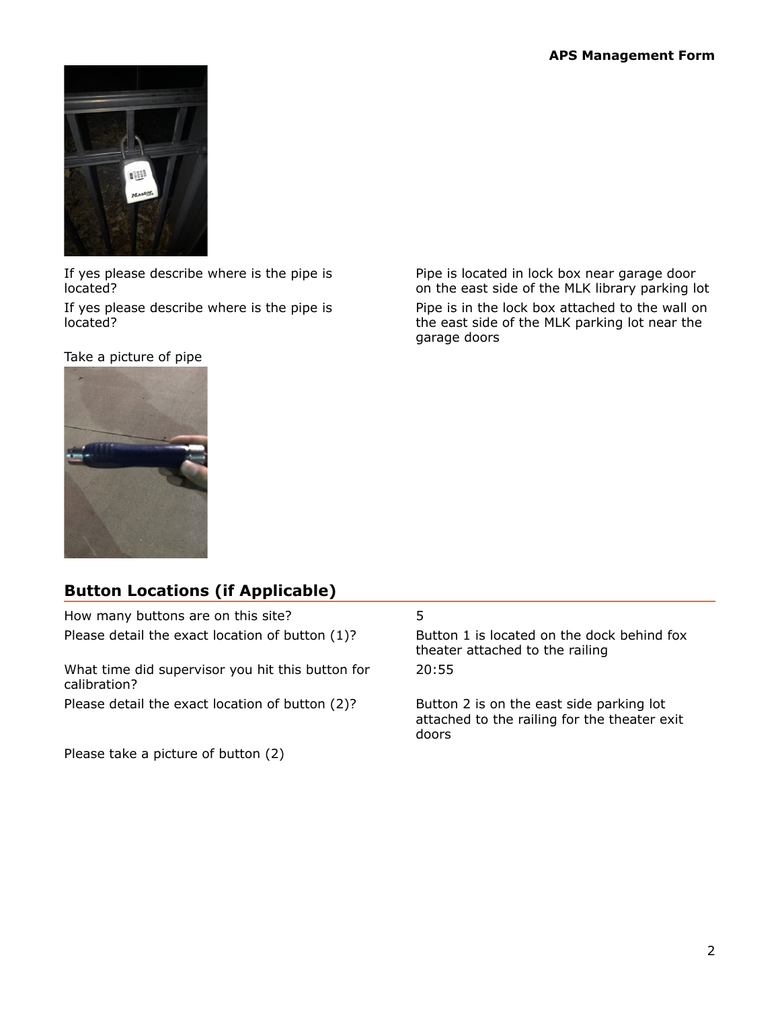

If yes please describe where is the pipe is located?

If yes please describe where is the pipe is located?

Take a picture of pipe





## **Button Locations (if Applicable)**

How many buttons are on this site? 5 Please detail the exact location of button (1)? Button 1 is located on the dock behind fox theater attached to the railing What time did supervisor you hit this button for calibration? 20:55 Please detail the exact location of button (2)? Button 2 is on the east side parking lot attached to the railing for the theater exit doors Please take a picture of button (2)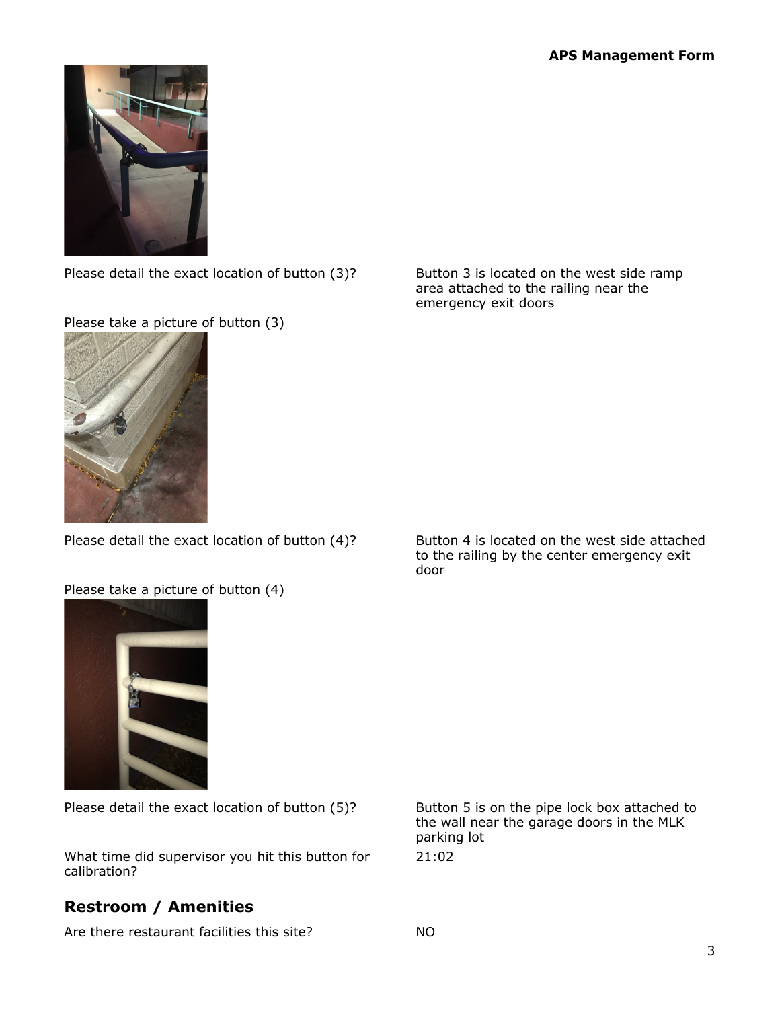

Please detail the exact location of button (3)? Button 3 is located on the west side ramp

area attached to the railing near the emergency exit doors





Please detail the exact location of button (4)? Button 4 is located on the west side attached

### Please take a picture of button (4)

to the railing by the center emergency exit door



Please detail the exact location of button (5)? Button 5 is on the pipe lock box attached to

What time did supervisor you hit this button for calibration?

# **Restroom / Amenities**

Are there restaurant facilities this site? NO

the wall near the garage doors in the MLK parking lot 21:02